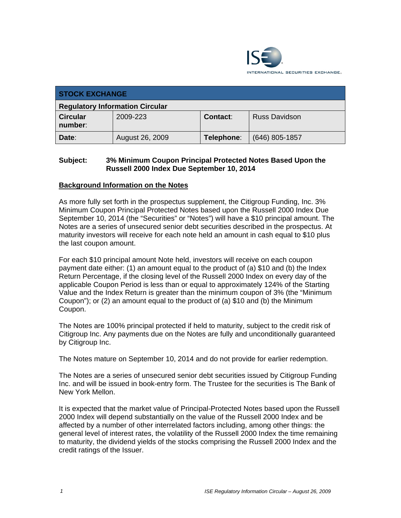

| <b>STOCK EXCHANGE</b>                  |                 |            |                      |  |
|----------------------------------------|-----------------|------------|----------------------|--|
| <b>Regulatory Information Circular</b> |                 |            |                      |  |
| <b>Circular</b><br>number:             | 2009-223        | Contact:   | <b>Russ Davidson</b> |  |
| Date:                                  | August 26, 2009 | Telephone: | $(646)$ 805-1857     |  |

## **Subject: 3% Minimum Coupon Principal Protected Notes Based Upon the Russell 2000 Index Due September 10, 2014**

#### **Background Information on the Notes**

As more fully set forth in the prospectus supplement, the Citigroup Funding, Inc. 3% Minimum Coupon Principal Protected Notes based upon the Russell 2000 Index Due September 10, 2014 (the "Securities" or "Notes") will have a \$10 principal amount. The Notes are a series of unsecured senior debt securities described in the prospectus. At maturity investors will receive for each note held an amount in cash equal to \$10 plus the last coupon amount.

For each \$10 principal amount Note held, investors will receive on each coupon payment date either: (1) an amount equal to the product of (a) \$10 and (b) the Index Return Percentage, if the closing level of the Russell 2000 Index on every day of the applicable Coupon Period is less than or equal to approximately 124% of the Starting Value and the Index Return is greater than the minimum coupon of 3% (the "Minimum Coupon"); or (2) an amount equal to the product of (a) \$10 and (b) the Minimum Coupon.

The Notes are 100% principal protected if held to maturity, subject to the credit risk of Citigroup Inc. Any payments due on the Notes are fully and unconditionally guaranteed by Citigroup Inc.

The Notes mature on September 10, 2014 and do not provide for earlier redemption.

The Notes are a series of unsecured senior debt securities issued by Citigroup Funding Inc. and will be issued in book-entry form. The Trustee for the securities is The Bank of New York Mellon.

It is expected that the market value of Principal-Protected Notes based upon the Russell 2000 Index will depend substantially on the value of the Russell 2000 Index and be affected by a number of other interrelated factors including, among other things: the general level of interest rates, the volatility of the Russell 2000 Index the time remaining to maturity, the dividend yields of the stocks comprising the Russell 2000 Index and the credit ratings of the Issuer.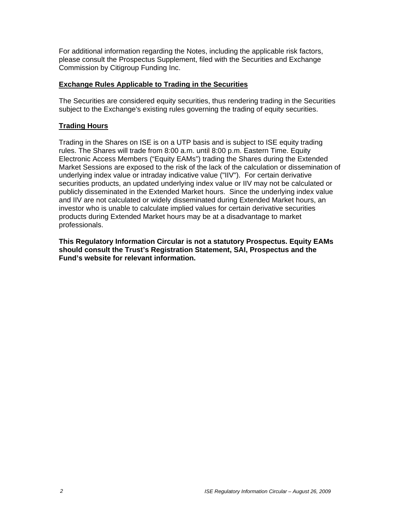For additional information regarding the Notes, including the applicable risk factors, please consult the Prospectus Supplement, filed with the Securities and Exchange Commission by Citigroup Funding Inc.

#### **Exchange Rules Applicable to Trading in the Securities**

The Securities are considered equity securities, thus rendering trading in the Securities subject to the Exchange's existing rules governing the trading of equity securities.

## **Trading Hours**

Trading in the Shares on ISE is on a UTP basis and is subject to ISE equity trading rules. The Shares will trade from 8:00 a.m. until 8:00 p.m. Eastern Time. Equity Electronic Access Members ("Equity EAMs") trading the Shares during the Extended Market Sessions are exposed to the risk of the lack of the calculation or dissemination of underlying index value or intraday indicative value ("IIV"). For certain derivative securities products, an updated underlying index value or IIV may not be calculated or publicly disseminated in the Extended Market hours. Since the underlying index value and IIV are not calculated or widely disseminated during Extended Market hours, an investor who is unable to calculate implied values for certain derivative securities products during Extended Market hours may be at a disadvantage to market professionals.

**This Regulatory Information Circular is not a statutory Prospectus. Equity EAMs should consult the Trust's Registration Statement, SAI, Prospectus and the Fund's website for relevant information.**